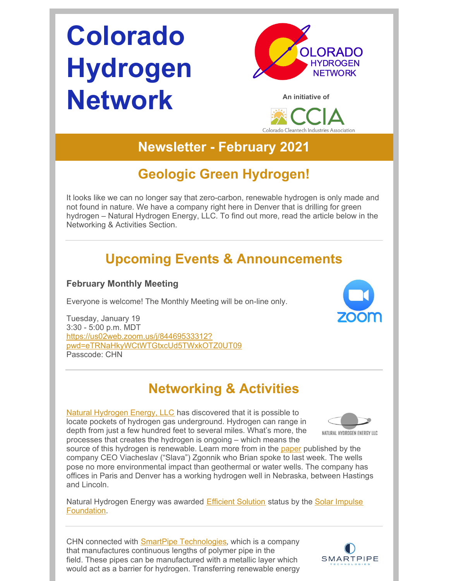# **Colorado Hydrogen Network**



**An initiative of**



## **Newsletter - February 2021**

## **Geologic Green Hydrogen!**

It looks like we can no longer say that zero-carbon, renewable hydrogen is only made and not found in nature. We have a company right here in Denver that is drilling for green hydrogen – Natural Hydrogen Energy, LLC. To find out more, read the article below in the Networking & Activities Section.

## **Upcoming Events & Announcements**

### **February Monthly Meeting**

Everyone is welcome! The Monthly Meeting will be on-line only.

Tuesday, January 19 3:30 - 5:00 p.m. MDT https://us02web.zoom.us/j/84469533312? [pwd=eTRNaHkyWCtWTGtxcUd5TWxkOTZ0UT09](https://us02web.zoom.us/j/84469533312?pwd=eTRNaHkyWCtWTGtxcUd5TWxkOTZ0UT09) Passcode: CHN

## **Networking & Activities**

Natural [Hydrogen](http://nh2e.com/) Energy, LLC has discovered that it is possible to locate pockets of hydrogen gas underground. Hydrogen can range in depth from just a few hundred feet to several miles. What's more, the processes that creates the hydrogen is ongoing – which means the



source of this hydrogen is renewable. Learn more from in the [paper](https://d77e2e1f-682b-4ffc-9872-322b0c0bd653.filesusr.com/ugd/ced3d5_0a7ed5b228b94318a41d70875a8cfe62.pdf) published by the company CEO Viacheslav ("Slava") Zgonnik who Brian spoke to last week. The wells pose no more environmental impact than geothermal or water wells. The company has offices in Paris and Denver has a working hydrogen well in Nebraska, between Hastings and Lincoln.

Natural Hydrogen Energy was awarded **Efficient [Solution](https://solarimpulse.com/efficient-solutions/nh2e-natural-hydrogen)** status by the Solar Impulse [Foundation.](https://solarimpulse.com/foundation)

CHN connected with SmartPipe [Technologies](https://smart-pipe.com/), which is a company that manufactures continuous lengths of polymer pipe in the field. These pipes can be manufactured with a metallic layer which would act as a barrier for hydrogen. Transferring renewable energy

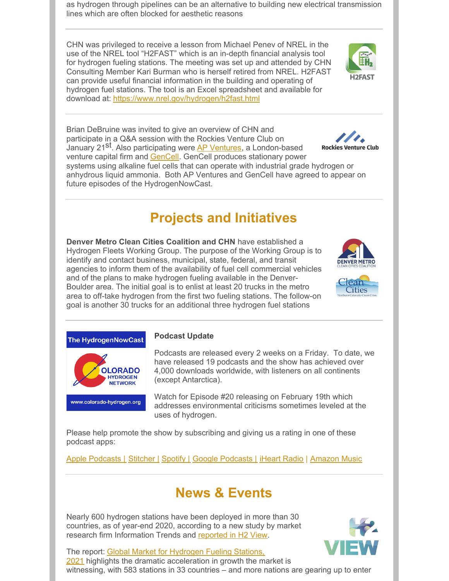as hydrogen through pipelines can be an alternative to building new electrical transmission lines which are often blocked for aesthetic reasons

CHN was privileged to receive a lesson from Michael Penev of NREL in the use of the NREL tool "H2FAST" which is an in-depth financial analysis tool for hydrogen fueling stations. The meeting was set up and attended by CHN Consulting Member Kari Burman who is herself retired from NREL. H2FAST can provide useful financial information in the building and operating of hydrogen fuel stations. The tool is an Excel spreadsheet and available for download at: <https://www.nrel.gov/hydrogen/h2fast.html>

Brian DeBruine was invited to give an overview of CHN and participate in a Q&A session with the Rockies Venture Club on January 21<sup>St</sup>. Also participating were AP [Ventures](https://apventures.com/), a London-based venture capital firm and [GenCell](https://www.gencellenergy.com/). GenCell produces stationary power systems using alkaline fuel cells that can operate with industrial grade hydrogen or anhydrous liquid ammonia. Both AP Ventures and GenCell have agreed to appear on future episodes of the HydrogenNowCast.

## **Projects and Initiatives**

**Denver Metro Clean Cities Coalition and CHN** have established a Hydrogen Fleets Working Group. The purpose of the Working Group is to identify and contact business, municipal, state, federal, and transit agencies to inform them of the availability of fuel cell commercial vehicles and of the plans to make hydrogen fueling available in the Denver-Boulder area. The initial goal is to enlist at least 20 trucks in the metro area to off-take hydrogen from the first two fueling stations. The follow-on goal is another 30 trucks for an additional three hydrogen fuel stations

#### **Podcast Update** The HydrogenNowCast

**OLORADO HYDROGEN NFTWORK** 

www.colorado-hydrogen.org

Podcasts are released every 2 weeks on a Friday. To date, we have released 19 podcasts and the show has achieved over 4,000 downloads worldwide, with listeners on all continents (except Antarctica).

Watch for Episode #20 releasing on February 19th which addresses environmental criticisms sometimes leveled at the uses of hydrogen.

Please help promote the show by subscribing and giving us a rating in one of these podcast apps:

Apple [Podcasts](https://podcasts.apple.com/us/podcast/hydrogennowcast/id1515826648) | [Stitcher](https://www.stitcher.com/s?fid=540617&refid=stpr) | [Spotify](https://open.spotify.com/show/0XkWjfWalLRK7Cd59w6vmU) | Google [Podcasts](https://podcasts.google.com/?feed=aHR0cHM6Ly9mZWVkcy5idXp6c3Byb3V0LmNvbS8xMTE3OTAxLnJzcw) | [iHeart](https://www.iheart.com/podcast/269-hydrogennowcast-65253432/) Radio | [Amazon](https://music.amazon.com/podcasts/2cb94f7c-0b7f-4040-b9ab-437736400075/HydrogenNowCast) Music

## **News & Events**

Nearly 600 hydrogen stations have been deployed in more than 30 countries, as of year-end 2020, according to a new study by market research firm Information Trends and [reported](https://www.h2-view.com/story/nearly-600-hydrogen-stations-globally/) in H2 View.

The report: Global Market for Hydrogen Fueling Stations, 2021 highlights the dramatic [acceleration](https://www.researchandmarkets.com/reports/4090103/global-market-for-hydrogen-fueling-stations) in growth the market is witnessing, with 583 stations in 33 countries – and more nations are gearing up to enter





**DENVER METE**